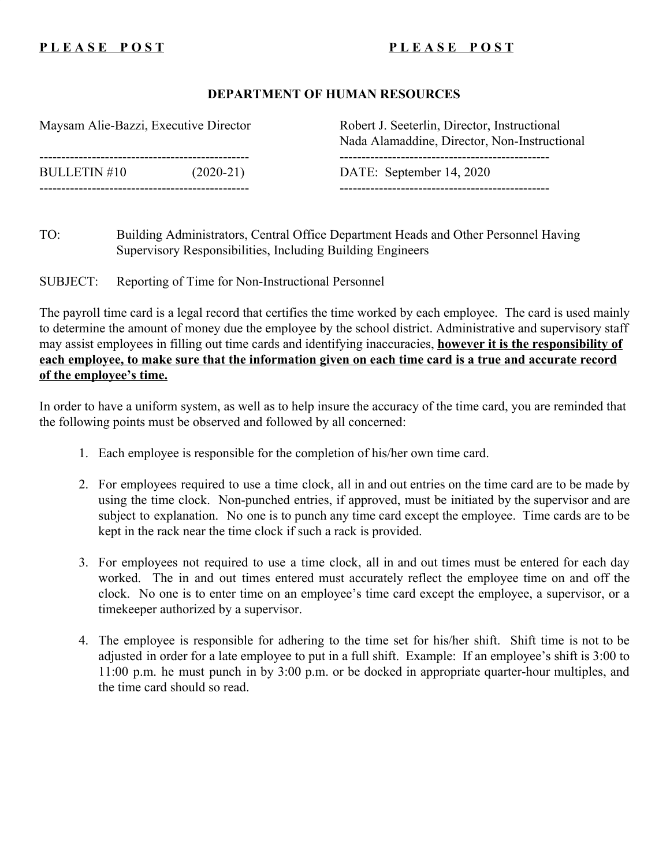## PLEASE POST PUERSE POST

### **DEPARTMENT OF HUMAN RESOURCES**

| Maysam Alie-Bazzi, Executive Director | Robert J. Seeterlin, Director, Instructional<br>Nada Alamaddine, Director, Non-Instructional |
|---------------------------------------|----------------------------------------------------------------------------------------------|
| <b>BULLETIN #10</b><br>$(2020-21)$    | DATE: September 14, 2020                                                                     |

TO: Building Administrators, Central Office Department Heads and Other Personnel Having Supervisory Responsibilities, Including Building Engineers

SUBJECT: Reporting of Time for Non-Instructional Personnel

The payroll time card is a legal record that certifies the time worked by each employee. The card is used mainly to determine the amount of money due the employee by the school district. Administrative and supervisory staff may assist employees in filling out time cards and identifying inaccuracies, **however it is the responsibility of each employee, to make sure that the information given on each time card is a true and accurate record of the employee's time.**

In order to have a uniform system, as well as to help insure the accuracy of the time card, you are reminded that the following points must be observed and followed by all concerned:

- 1. Each employee is responsible for the completion of his/her own time card.
- 2. For employees required to use a time clock, all in and out entries on the time card are to be made by using the time clock. Non-punched entries, if approved, must be initiated by the supervisor and are subject to explanation. No one is to punch any time card except the employee. Time cards are to be kept in the rack near the time clock if such a rack is provided.
- 3. For employees not required to use a time clock, all in and out times must be entered for each day worked. The in and out times entered must accurately reflect the employee time on and off the clock. No one is to enter time on an employee's time card except the employee, a supervisor, or a timekeeper authorized by a supervisor.
- 4. The employee is responsible for adhering to the time set for his/her shift. Shift time is not to be adjusted in order for a late employee to put in a full shift. Example: If an employee's shift is 3:00 to 11:00 p.m. he must punch in by 3:00 p.m. or be docked in appropriate quarter-hour multiples, and the time card should so read.